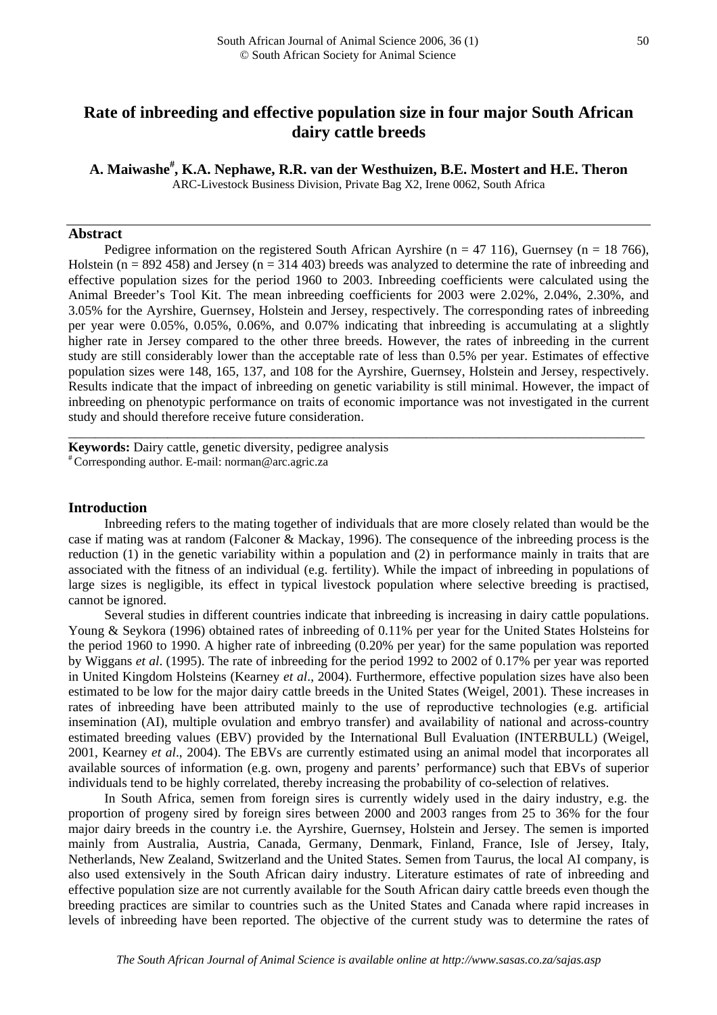# **Rate of inbreeding and effective population size in four major South African dairy cattle breeds**

## **A. Maiwashe# , K.A. Nephawe, R.R. van der Westhuizen, B.E. Mostert and H.E. Theron**  ARC-Livestock Business Division, Private Bag X2, Irene 0062, South Africa

#### **Abstract**

Pedigree information on the registered South African Ayrshire ( $n = 47$  116), Guernsey ( $n = 18$  766), Holstein ( $n = 892,458$ ) and Jersey ( $n = 314,403$ ) breeds was analyzed to determine the rate of inbreeding and effective population sizes for the period 1960 to 2003. Inbreeding coefficients were calculated using the Animal Breeder's Tool Kit. The mean inbreeding coefficients for 2003 were 2.02%, 2.04%, 2.30%, and 3.05% for the Ayrshire, Guernsey, Holstein and Jersey, respectively. The corresponding rates of inbreeding per year were 0.05%, 0.05%, 0.06%, and 0.07% indicating that inbreeding is accumulating at a slightly higher rate in Jersey compared to the other three breeds. However, the rates of inbreeding in the current study are still considerably lower than the acceptable rate of less than 0.5% per year. Estimates of effective population sizes were 148, 165, 137, and 108 for the Ayrshire, Guernsey, Holstein and Jersey, respectively. Results indicate that the impact of inbreeding on genetic variability is still minimal. However, the impact of inbreeding on phenotypic performance on traits of economic importance was not investigated in the current study and should therefore receive future consideration.

\_\_\_\_\_\_\_\_\_\_\_\_\_\_\_\_\_\_\_\_\_\_\_\_\_\_\_\_\_\_\_\_\_\_\_\_\_\_\_\_\_\_\_\_\_\_\_\_\_\_\_\_\_\_\_\_\_\_\_\_\_\_\_\_\_\_\_\_\_\_\_\_\_\_\_\_\_\_\_\_\_\_\_\_\_\_\_

**Keywords:** Dairy cattle, gen[etic diversity, pedigr](mailto:norman@arc.agric.za)ee analysis # Corresponding author. E-mail: [norman@arc.agric.za](mailto:norman@arc.agric.za)

#### **Introduction**

Inbreeding refers to the mating together of individuals that are more closely related than would be the case if mating was at random (Falconer & Mackay, 1996). The consequence of the inbreeding process is the reduction (1) in the genetic variability within a population and (2) in performance mainly in traits that are associated with the fitness of an individual (e.g. fertility). While the impact of inbreeding in populations of large sizes is negligible, its effect in typical livestock population where selective breeding is practised, cannot be ignored.

Several studies in different countries indicate that inbreeding is increasing in dairy cattle populations. Young & Seykora (1996) obtained rates of inbreeding of 0.11% per year for the United States Holsteins for the period 1960 to 1990. A higher rate of inbreeding (0.20% per year) for the same population was reported by Wiggans *et al*. (1995). The rate of inbreeding for the period 1992 to 2002 of 0.17% per year was reported in United Kingdom Holsteins (Kearney *et al*., 2004). Furthermore, effective population sizes have also been estimated to be low for the major dairy cattle breeds in the United States (Weigel, 2001). These increases in rates of inbreeding have been attributed mainly to the use of reproductive technologies (e.g. artificial insemination (AI), multiple ovulation and embryo transfer) and availability of national and across-country estimated breeding values (EBV) provided by the International Bull Evaluation (INTERBULL) (Weigel, 2001, Kearney *et al*., 2004). The EBVs are currently estimated using an animal model that incorporates all available sources of information (e.g. own, progeny and parents' performance) such that EBVs of superior individuals tend to be highly correlated, thereby increasing the probability of co-selection of relatives.

In South Africa, semen from foreign sires is currently widely used in the dairy industry, e.g. the proportion of progeny sired by foreign sires between 2000 and 2003 ranges from 25 to 36% for the four major dairy breeds in the country i.e. the Ayrshire, Guernsey, Holstein and Jersey. The semen is imported mainly from Australia, Austria, Canada, Germany, Denmark, Finland, France, Isle of Jersey, Italy, Netherlands, New Zealand, Switzerland and the United States. Semen from Taurus, the local AI company, is also used extensively in the South African dairy industry. Literature estimates of rate of inbreeding and effective population size are not currently available for the South African dairy cattle breeds even though the breeding practices are similar to countries such as the United States and Canada where rapid increases in levels of inbreeding have been reported. The objective of the current study was to determine the rates of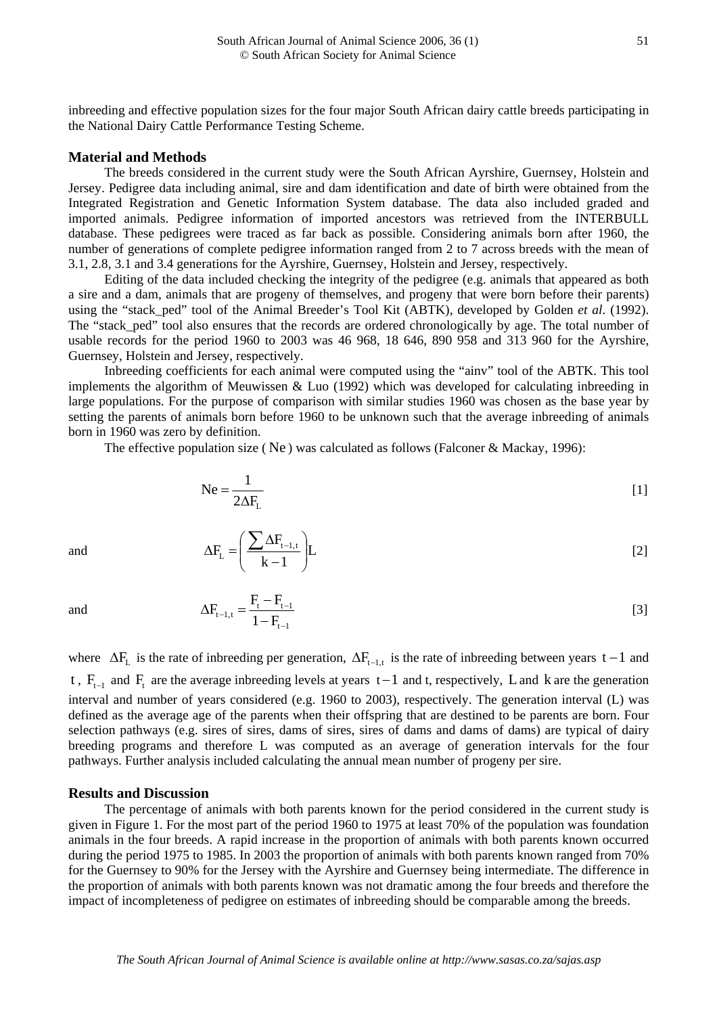inbreeding and effective population sizes for the four major South African dairy cattle breeds participating in the National Dairy Cattle Performance Testing Scheme.

#### **Material and Methods**

The breeds considered in the current study were the South African Ayrshire, Guernsey, Holstein and Jersey. Pedigree data including animal, sire and dam identification and date of birth were obtained from the Integrated Registration and Genetic Information System database. The data also included graded and imported animals. Pedigree information of imported ancestors was retrieved from the INTERBULL database. These pedigrees were traced as far back as possible. Considering animals born after 1960, the number of generations of complete pedigree information ranged from 2 to 7 across breeds with the mean of 3.1, 2.8, 3.1 and 3.4 generations for the Ayrshire, Guernsey, Holstein and Jersey, respectively.

Editing of the data included checking the integrity of the pedigree (e.g. animals that appeared as both a sire and a dam, animals that are progeny of themselves, and progeny that were born before their parents) using the "stack\_ped" tool of the Animal Breeder's Tool Kit (ABTK), developed by Golden *et al*. (1992). The "stack ped" tool also ensures that the records are ordered chronologically by age. The total number of usable records for the period 1960 to 2003 was 46 968, 18 646, 890 958 and 313 960 for the Ayrshire, Guernsey, Holstein and Jersey, respectively.

Inbreeding coefficients for each animal were computed using the "ainv" tool of the ABTK. This tool implements the algorithm of Meuwissen & Luo (1992) which was developed for calculating inbreeding in large populations. For the purpose of comparison with similar studies 1960 was chosen as the base year by setting the parents of animals born before 1960 to be unknown such that the average inbreeding of animals born in 1960 was zero by definition.

The effective population size ( Ne ) was calculated as follows (Falconer & Mackay, 1996):

$$
Ne = \frac{1}{2\Delta F_L} \tag{1}
$$

and 
$$
\Delta F_{L} = \left(\frac{\sum \Delta F_{t-1,t}}{k-1}\right) L
$$
 [2]

$$
\Delta F_{t-1,t} = \frac{F_t - F_{t-1}}{1 - F_{t-1}}
$$
\n<sup>(3)</sup>

where  $\Delta F_L$  is the rate of inbreeding per generation,  $\Delta F_{t-1,t}$  is the rate of inbreeding between years t −1 and t,  $F_{t-1}$  and  $F_t$  are the average inbreeding levels at years t −1 and t, respectively, L and k are the generation interval and number of years considered (e.g. 1960 to 2003), respectively. The generation interval (L) was defined as the average age of the parents when their offspring that are destined to be parents are born. Four selection pathways (e.g. sires of sires, dams of sires, sires of dams and dams of dams) are typical of dairy breeding programs and therefore L was computed as an average of generation intervals for the four pathways. Further analysis included calculating the annual mean number of progeny per sire.

#### **Results and Discussion**

The percentage of animals with both parents known for the period considered in the current study is given in Figure 1. For the most part of the period 1960 to 1975 at least 70% of the population was foundation animals in the four breeds. A rapid increase in the proportion of animals with both parents known occurred during the period 1975 to 1985. In 2003 the proportion of animals with both parents known ranged from 70% for the Guernsey to 90% for the Jersey with the Ayrshire and Guernsey being intermediate. The difference in the proportion of animals with both parents known was not dramatic among the four breeds and therefore the impact of incompleteness of pedigree on estimates of inbreeding should be comparable among the breeds.

and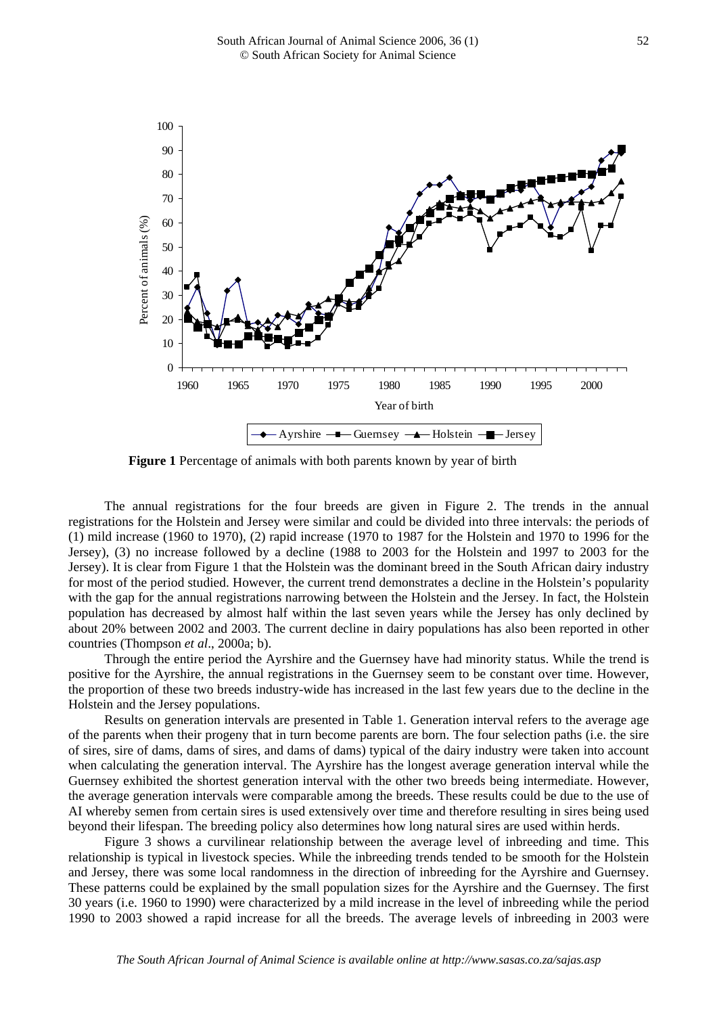

**Figure 1** Percentage of animals with both parents known by year of birth

The annual registrations for the four breeds are given in Figure 2. The trends in the annual registrations for the Holstein and Jersey were similar and could be divided into three intervals: the periods of (1) mild increase (1960 to 1970), (2) rapid increase (1970 to 1987 for the Holstein and 1970 to 1996 for the Jersey), (3) no increase followed by a decline (1988 to 2003 for the Holstein and 1997 to 2003 for the Jersey). It is clear from Figure 1 that the Holstein was the dominant breed in the South African dairy industry for most of the period studied. However, the current trend demonstrates a decline in the Holstein's popularity with the gap for the annual registrations narrowing between the Holstein and the Jersey. In fact, the Holstein population has decreased by almost half within the last seven years while the Jersey has only declined by about 20% between 2002 and 2003. The current decline in dairy populations has also been reported in other countries (Thompson *et al*., 2000a; b).

Through the entire period the Ayrshire and the Guernsey have had minority status. While the trend is positive for the Ayrshire, the annual registrations in the Guernsey seem to be constant over time. However, the proportion of these two breeds industry-wide has increased in the last few years due to the decline in the Holstein and the Jersey populations.

Results on generation intervals are presented in Table 1. Generation interval refers to the average age of the parents when their progeny that in turn become parents are born. The four selection paths (i.e. the sire of sires, sire of dams, dams of sires, and dams of dams) typical of the dairy industry were taken into account when calculating the generation interval. The Ayrshire has the longest average generation interval while the Guernsey exhibited the shortest generation interval with the other two breeds being intermediate. However, the average generation intervals were comparable among the breeds. These results could be due to the use of AI whereby semen from certain sires is used extensively over time and therefore resulting in sires being used beyond their lifespan. The breeding policy also determines how long natural sires are used within herds.

Figure 3 shows a curvilinear relationship between the average level of inbreeding and time. This relationship is typical in livestock species. While the inbreeding trends tended to be smooth for the Holstein and Jersey, there was some local randomness in the direction of inbreeding for the Ayrshire and Guernsey. These patterns could be explained by the small population sizes for the Ayrshire and the Guernsey. The first 30 years (i.e. 1960 to 1990) were characterized by a mild increase in the level of inbreeding while the period 1990 to 2003 showed a rapid increase for all the breeds. The average levels of inbreeding in 2003 were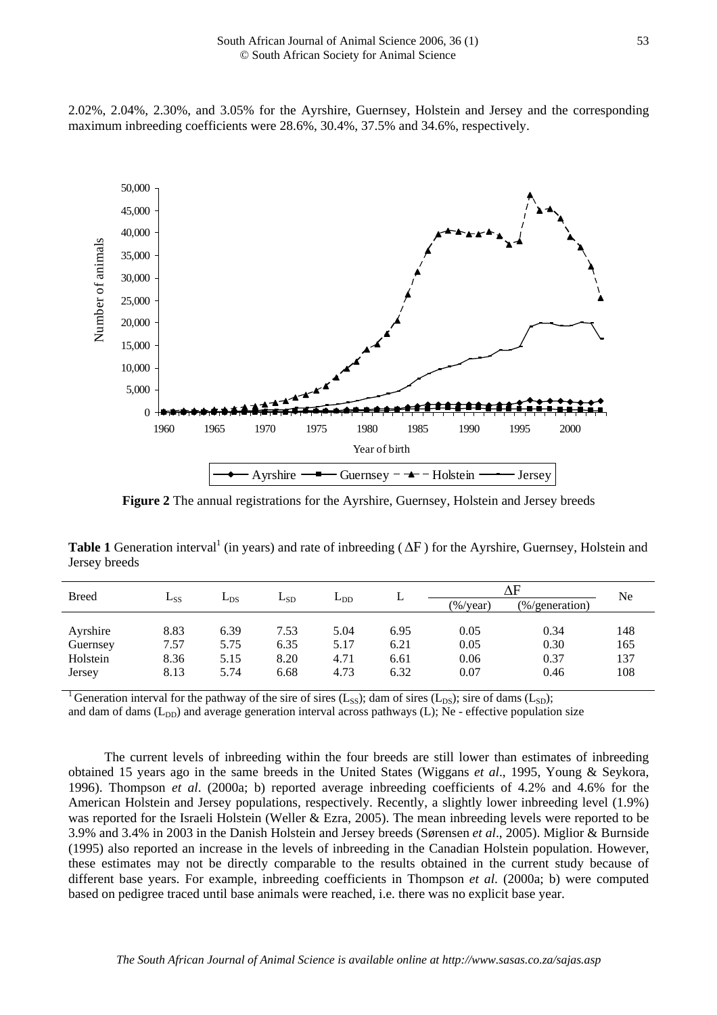2.02%, 2.04%, 2.30%, and 3.05% for the Ayrshire, Guernsey, Holstein and Jersey and the corresponding maximum inbreeding coefficients were 28.6%, 30.4%, 37.5% and 34.6%, respectively.



**Figure 2** The annual registrations for the Ayrshire, Guernsey, Holstein and Jersey breeds

**Table 1** Generation interval<sup>1</sup> (in years) and rate of inbreeding ( $\Delta F$ ) for the Ayrshire, Guernsey, Holstein and Jersey breeds

| <b>Breed</b> | $_{\rm LSS}$ | $L_{DS}$ | $L_{\rm SD}$ | $L_{DD}$ |      | ΔF                    |                | Ne. |
|--------------|--------------|----------|--------------|----------|------|-----------------------|----------------|-----|
|              |              |          |              |          |      | $(\frac{9}{6}$ /year) | (%/generation) |     |
|              |              |          |              |          |      |                       |                |     |
| Ayrshire     | 8.83         | 6.39     | 7.53         | 5.04     | 6.95 | 0.05                  | 0.34           | 148 |
| Guernsey     | 7.57         | 5.75     | 6.35         | 5.17     | 6.21 | 0.05                  | 0.30           | 165 |
| Holstein     | 8.36         | 5.15     | 8.20         | 4.71     | 6.61 | 0.06                  | 0.37           | 137 |
| Jersey       | 8.13         | 5.74     | 6.68         | 4.73     | 6.32 | 0.07                  | 0.46           | 108 |

<sup>1</sup> Generation interval for the pathway of the sire of sires (L<sub>SS</sub>); dam of sires (L<sub>DS</sub>); sire of dams (L<sub>SD</sub>);

and dam of dams  $(L_{DD})$  and average generation interval across pathways  $(L)$ ; Ne - effective population size

The current levels of inbreeding within the four breeds are still lower than estimates of inbreeding obtained 15 years ago in the same breeds in the United States (Wiggans *et al*., 1995, Young & Seykora, 1996). Thompson *et al*. (2000a; b) reported average inbreeding coefficients of 4.2% and 4.6% for the American Holstein and Jersey populations, respectively. Recently, a slightly lower inbreeding level (1.9%) was reported for the Israeli Holstein (Weller & Ezra, 2005). The mean inbreeding levels were reported to be 3.9% and 3.4% in 2003 in the Danish Holstein and Jersey breeds (Sørensen *et al*., 2005). Miglior & Burnside (1995) also reported an increase in the levels of inbreeding in the Canadian Holstein population. However, these estimates may not be directly comparable to the results obtained in the current study because of different base years. For example, inbreeding coefficients in Thompson *et al*. (2000a; b) were computed based on pedigree traced until base animals were reached, i.e. there was no explicit base year.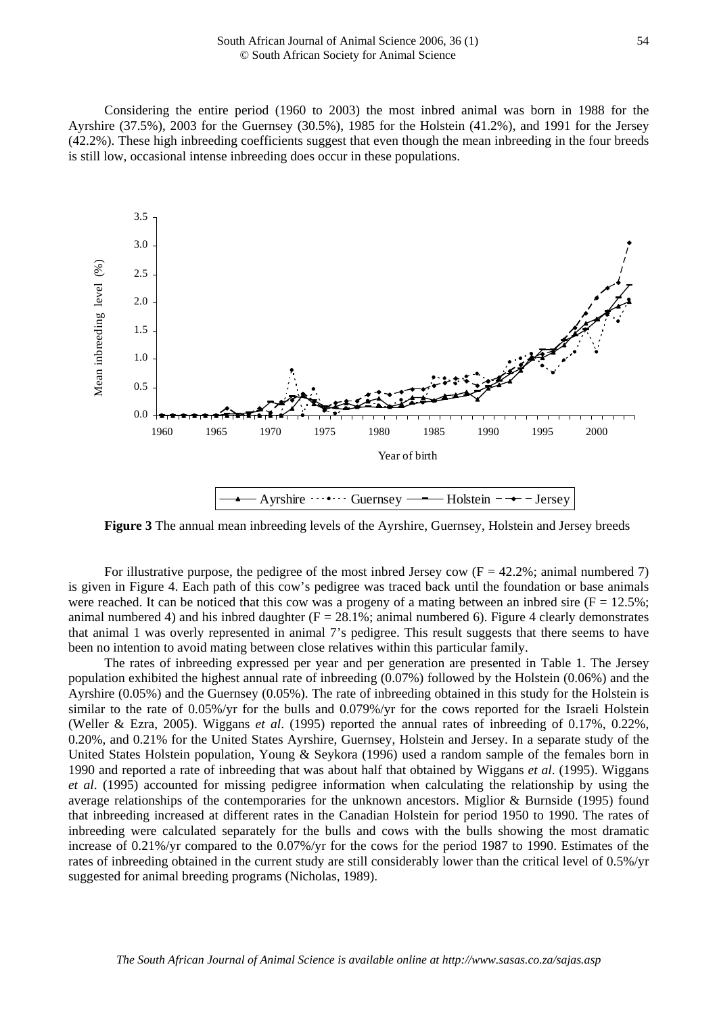Considering the entire period (1960 to 2003) the most inbred animal was born in 1988 for the Ayrshire (37.5%), 2003 for the Guernsey (30.5%), 1985 for the Holstein (41.2%), and 1991 for the Jersey (42.2%). These high inbreeding coefficients suggest that even though the mean inbreeding in the four breeds is still low, occasional intense inbreeding does occur in these populations.



**Figure 3** The annual mean inbreeding levels of the Ayrshire, Guernsey, Holstein and Jersey breeds

For illustrative purpose, the pedigree of the most inbred Jersey cow ( $F = 42.2\%$ ; animal numbered 7) is given in Figure 4. Each path of this cow's pedigree was traced back until the foundation or base animals were reached. It can be noticed that this cow was a progeny of a mating between an inbred sire ( $F = 12.5\%$ ; animal numbered 4) and his inbred daughter ( $F = 28.1\%$ ; animal numbered 6). Figure 4 clearly demonstrates that animal 1 was overly represented in animal 7's pedigree. This result suggests that there seems to have been no intention to avoid mating between close relatives within this particular family.

The rates of inbreeding expressed per year and per generation are presented in Table 1. The Jersey population exhibited the highest annual rate of inbreeding (0.07%) followed by the Holstein (0.06%) and the Ayrshire (0.05%) and the Guernsey (0.05%). The rate of inbreeding obtained in this study for the Holstein is similar to the rate of 0.05%/yr for the bulls and 0.079%/yr for the cows reported for the Israeli Holstein (Weller & Ezra, 2005). Wiggans *et al*. (1995) reported the annual rates of inbreeding of 0.17%, 0.22%, 0.20%, and 0.21% for the United States Ayrshire, Guernsey, Holstein and Jersey. In a separate study of the United States Holstein population, Young & Seykora (1996) used a random sample of the females born in 1990 and reported a rate of inbreeding that was about half that obtained by Wiggans *et al*. (1995). Wiggans *et al*. (1995) accounted for missing pedigree information when calculating the relationship by using the average relationships of the contemporaries for the unknown ancestors. Miglior & Burnside (1995) found that inbreeding increased at different rates in the Canadian Holstein for period 1950 to 1990. The rates of inbreeding were calculated separately for the bulls and cows with the bulls showing the most dramatic increase of 0.21%/yr compared to the 0.07%/yr for the cows for the period 1987 to 1990. Estimates of the rates of inbreeding obtained in the current study are still considerably lower than the critical level of 0.5%/yr suggested for animal breeding programs (Nicholas, 1989).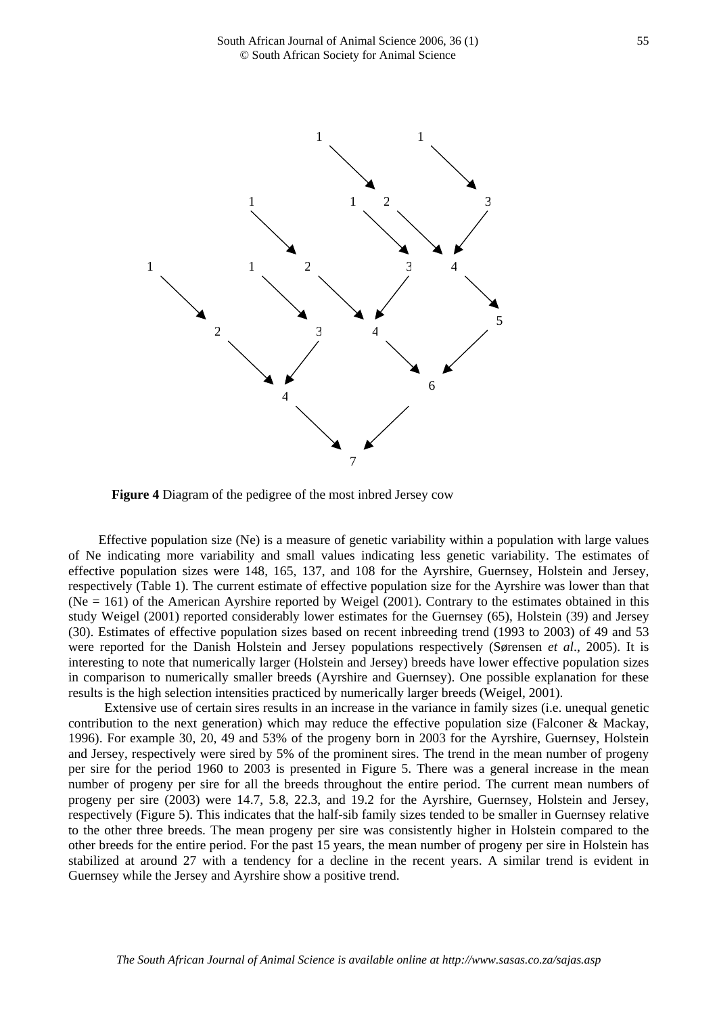

**Figure 4** Diagram of the pedigree of the most inbred Jersey cow

Effective population size (Ne) is a measure of genetic variability within a population with large values of Ne indicating more variability and small values indicating less genetic variability. The estimates of effective population sizes were 148, 165, 137, and 108 for the Ayrshire, Guernsey, Holstein and Jersey, respectively (Table 1). The current estimate of effective population size for the Ayrshire was lower than that ( $Ne = 161$ ) of the American Ayrshire reported by Weigel (2001). Contrary to the estimates obtained in this study Weigel (2001) reported considerably lower estimates for the Guernsey (65), Holstein (39) and Jersey (30). Estimates of effective population sizes based on recent inbreeding trend (1993 to 2003) of 49 and 53 were reported for the Danish Holstein and Jersey populations respectively (Sørensen *et al*., 2005). It is interesting to note that numerically larger (Holstein and Jersey) breeds have lower effective population sizes in comparison to numerically smaller breeds (Ayrshire and Guernsey). One possible explanation for these results is the high selection intensities practiced by numerically larger breeds (Weigel, 2001).

Extensive use of certain sires results in an increase in the variance in family sizes (i.e. unequal genetic contribution to the next generation) which may reduce the effective population size (Falconer & Mackay, 1996). For example 30, 20, 49 and 53% of the progeny born in 2003 for the Ayrshire, Guernsey, Holstein and Jersey, respectively were sired by 5% of the prominent sires. The trend in the mean number of progeny per sire for the period 1960 to 2003 is presented in Figure 5. There was a general increase in the mean number of progeny per sire for all the breeds throughout the entire period. The current mean numbers of progeny per sire (2003) were 14.7, 5.8, 22.3, and 19.2 for the Ayrshire, Guernsey, Holstein and Jersey, respectively (Figure 5). This indicates that the half-sib family sizes tended to be smaller in Guernsey relative to the other three breeds. The mean progeny per sire was consistently higher in Holstein compared to the other breeds for the entire period. For the past 15 years, the mean number of progeny per sire in Holstein has stabilized at around 27 with a tendency for a decline in the recent years. A similar trend is evident in Guernsey while the Jersey and Ayrshire show a positive trend.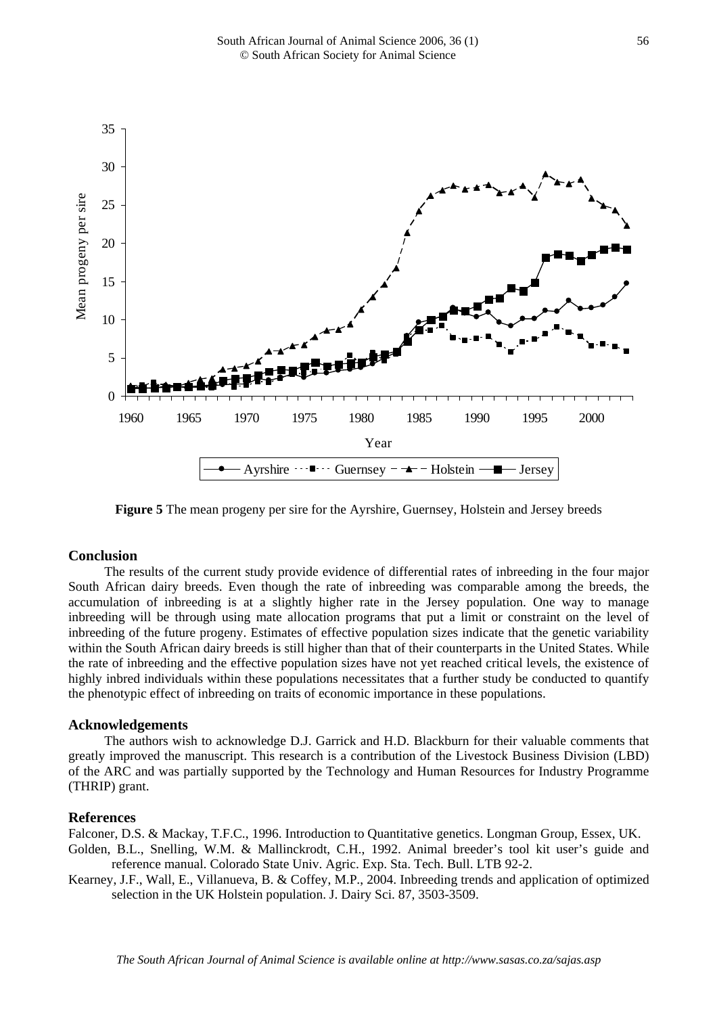

**Figure 5** The mean progeny per sire for the Ayrshire, Guernsey, Holstein and Jersey breeds

#### **Conclusion**

The results of the current study provide evidence of differential rates of inbreeding in the four major South African dairy breeds. Even though the rate of inbreeding was comparable among the breeds, the accumulation of inbreeding is at a slightly higher rate in the Jersey population. One way to manage inbreeding will be through using mate allocation programs that put a limit or constraint on the level of inbreeding of the future progeny. Estimates of effective population sizes indicate that the genetic variability within the South African dairy breeds is still higher than that of their counterparts in the United States. While the rate of inbreeding and the effective population sizes have not yet reached critical levels, the existence of highly inbred individuals within these populations necessitates that a further study be conducted to quantify the phenotypic effect of inbreeding on traits of economic importance in these populations.

### **Acknowledgements**

The authors wish to acknowledge D.J. Garrick and H.D. Blackburn for their valuable comments that greatly improved the manuscript. This research is a contribution of the Livestock Business Division (LBD) of the ARC and was partially supported by the Technology and Human Resources for Industry Programme (THRIP) grant.

#### **References**

Falconer, D.S. & Mackay, T.F.C., 1996. Introduction to Quantitative genetics. Longman Group, Essex, UK.

- Golden, B.L., Snelling, W.M. & Mallinckrodt, C.H., 1992. Animal breeder's tool kit user's guide and reference manual. Colorado State Univ. Agric. Exp. Sta. Tech. Bull. LTB 92-2.
- Kearney, J.F., Wall, E., Villanueva, B. & Coffey, M.P., 2004. Inbreeding trends and application of optimized selection in the UK Holstein population. J. Dairy Sci. 87, 3503-3509.